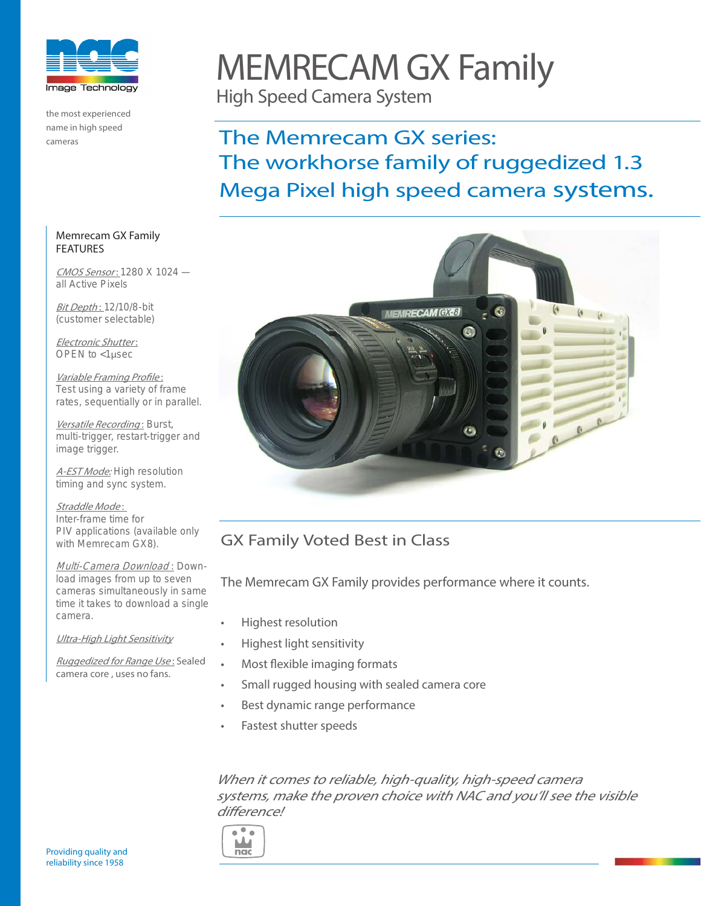

the most experienced name in high speed cameras

# MEMRECAM GX Family

High Speed Camera System

## The Memrecam GX series: The workhorse family of ruggedized 1.3 Mega Pixel high speed camera systems.



## GX Family Voted Best in Class

The Memrecam GX Family provides performance where it counts.

- Highest resolution
- Highest light sensitivity
- Most flexible imaging formats
- Small rugged housing with sealed camera core
- Best dynamic range performance
- Fastest shutter speeds

When it comes to reliable, high-quality, high-speed camera systems, make the proven choice with NAC and you'll see the visible difference!



Memrecam GX Family FEATURES

CMOS Sensor: 1280 X 1024 all Active Pixels

Bit Depth: 12/10/8-bit (customer selectable)

Electronic Shutter : OPEN to <1μsec

Variable Framing Profile : Test using a variety of frame rates, sequentially or in parallel.

Versatile Recording: Burst, multi-trigger, restart-trigger and image trigger.

A-EST Mode: High resolution timing and sync system.

Straddle Mode: Inter-frame time for PIV applications (available only with Memrecam GX8).

Multi-Camera Download: Download images from up to seven cameras simultaneously in same time it takes to download a single camera.

Ultra-High Light Sensitivity

Ruggedized for Range Use: Sealed camera core , uses no fans.